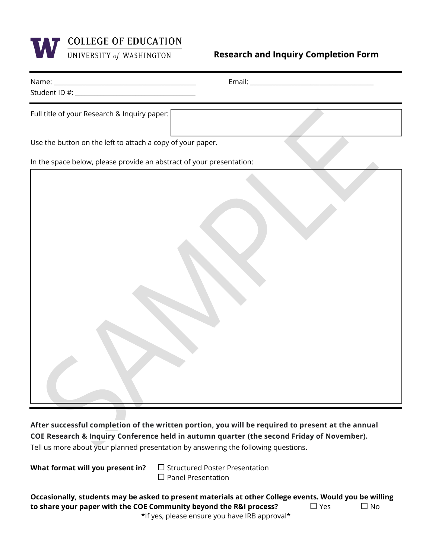

**Research and Inquiry Completion Form** 

| Full title of your Research & Inquiry paper:                         |  |  |  |  |
|----------------------------------------------------------------------|--|--|--|--|
| Use the button on the left to attach a copy of your paper.           |  |  |  |  |
| In the space below, please provide an abstract of your presentation: |  |  |  |  |
|                                                                      |  |  |  |  |

**After successful completion of the written portion, you will be required to present at the annual COE Research & Inquiry Conference held in autumn quarter (the second Friday of November).** Tell us more about your planned presentation by answering the following questions.

**What format will you present in?** □ Structured Poster Presentation  $\square$  Panel Presentation

| Occasionally, students may be asked to present materials at other College events. Would you be willing |            |           |
|--------------------------------------------------------------------------------------------------------|------------|-----------|
| to share your paper with the COE Community beyond the R&I process?                                     | $\Box$ Yes | $\Box$ No |
| *If yes, please ensure you have IRB approval*                                                          |            |           |